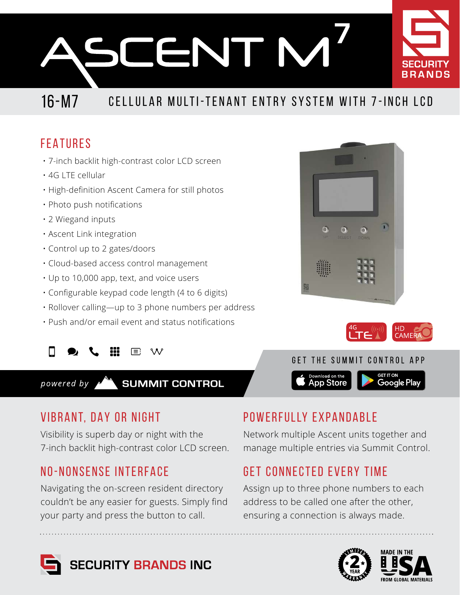**CENTIM** 

# 16-M7 CELLULAR MULTI-TENANT ENTRY SYSTEM WITH 7-INCH LCD

## FEATURES

- 7-inch backlit high-contrast color LCD screen
- 4G LTE cellular
- High-definition Ascent Camera for still photos
- Photo push notifications
- 2 Wiegand inputs
- Ascent Link integration
- Control up to 2 gates/doors
- Cloud-based access control management
- Up to 10,000 app, text, and voice users
- Configurable keypad code length (4 to 6 digits)
- Rollover calling—up to 3 phone numbers per address
- Push and/or email event and status notifications

 $E: M$ 

**SUMMIT CONTROL** powered by

## VIBRANT, DAY OR NIGHT

Visibility is superb day or night with the 7-inch backlit high-contrast color LCD screen.

## NO-NONSENSE INTERFACE

Navigating the on-screen resident directory couldn't be any easier for guests. Simply find your party and press the button to call.

## POWERFULLY EXPANDABLE

Network multiple Ascent units together and manage multiple entries via Summit Control.

Download on the<br>App Store

## GET CONNECTED EVERY TIME

Assign up to three phone numbers to each address to be called one after the other, ensuring a connection is always made.







GET THE SUMMIT CONTROL APP



Google Play